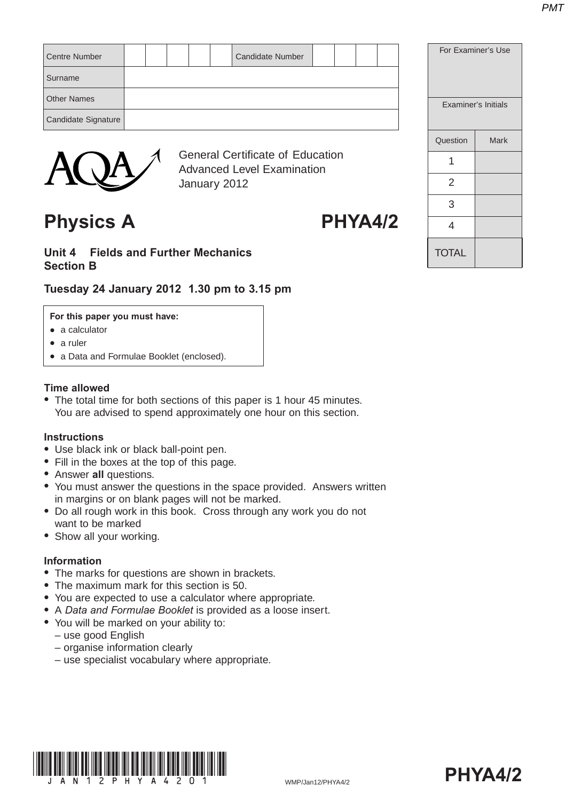**TOTAL** 

2

3

 $\overline{\mathbf{A}}$ 

|                      |  |  | <b>General Certificate of Education</b> |  |  |                            |      |
|----------------------|--|--|-----------------------------------------|--|--|----------------------------|------|
|                      |  |  |                                         |  |  | Question                   | Mark |
| Candidate Signature  |  |  |                                         |  |  |                            |      |
| <b>Other Names</b>   |  |  |                                         |  |  | <b>Examiner's Initials</b> |      |
| Surname              |  |  |                                         |  |  |                            |      |
| <b>Centre Number</b> |  |  | <b>Candidate Number</b>                 |  |  | For Examiner's Use         |      |
|                      |  |  |                                         |  |  |                            |      |



General Certificate of Education Advanced Level Examination January 2012

# Physics A PHYA4/2

## **Unit 4 Fields and Further Mechanics Section B**

# **Tuesday 24 January 2012 1.30 pm to 3.15 pm**

### **For this paper you must have:**

- $\bullet$  a calculator
- $\bullet$  a ruler
- a Data and Formulae Booklet (enclosed).

#### **Time allowed**

• The total time for both sections of this paper is 1 hour 45 minutes. You are advised to spend approximately one hour on this section.

#### **Instructions**

- Use black ink or black ball-point pen.
- Fill in the boxes at the top of this page.
- **Answer all questions.**
- You must answer the questions in the space provided. Answers written in margins or on blank pages will not be marked.
- Do all rough work in this book. Cross through any work you do not want to be marked
- Show all your working.

#### **Information**

- The marks for questions are shown in brackets.
- The maximum mark for this section is 50.
- You are expected to use a calculator where appropriate.
- A *Data and Formulae Booklet* is provided as a loose insert.
- You will be marked on your ability to:
	- use good English
	- organise information clearly
	- use specialist vocabulary where appropriate.



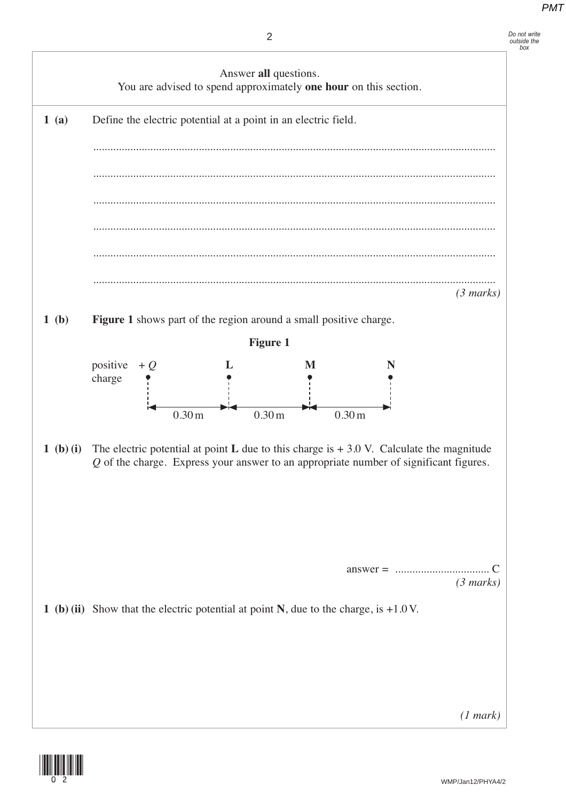*box*



![](_page_1_Picture_3.jpeg)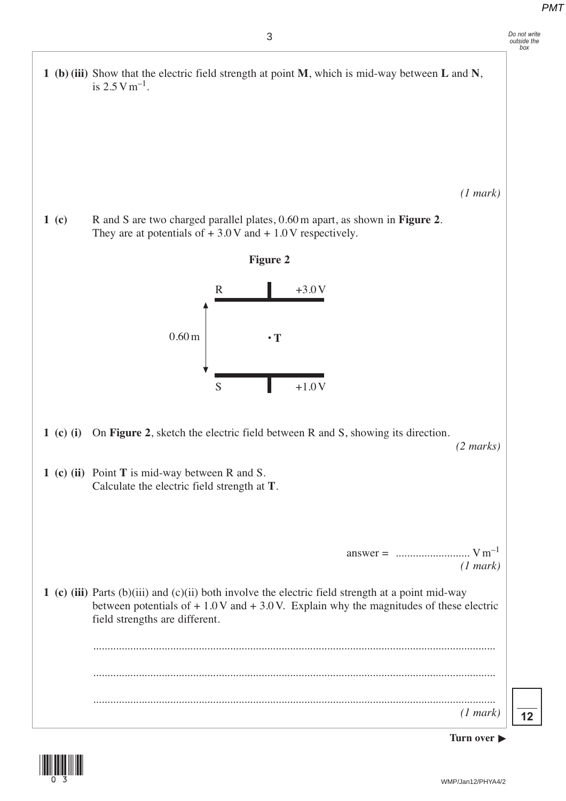**1 (b) (iii)** Show that the electric field strength at point **M**, which is mid-way between **L** and **N**, is  $2.5 \text{ V m}^{-1}$ .

*(1 mark)*

**1 (c)** R and S are two charged parallel plates, 0.60 m apart, as shown in **Figure 2**. They are at potentials of  $+3.0$  V and  $+1.0$  V respectively.

![](_page_2_Figure_5.jpeg)

- **1 (c) (i)** On **Figure 2**, sketch the electric field between R and S, showing its direction. *(2 marks)*
- **1 (c) (ii)** Point **T** is mid-way between R and S. Calculate the electric field strength at **T**.

answer = .......................... V m–1 *(1 mark)*

**1 (c) (iii)** Parts (b)(iii) and (c)(ii) both involve the electric field strength at a point mid-way between potentials of  $+1.0$  V and  $+3.0$  V. Explain why the magnitudes of these electric field strengths are different.

 ............................................................................................................................................. ............................................................................................................................................. ............................................................................................................................................. *(1 mark)*

**12**

![](_page_2_Picture_12.jpeg)

![](_page_2_Picture_13.jpeg)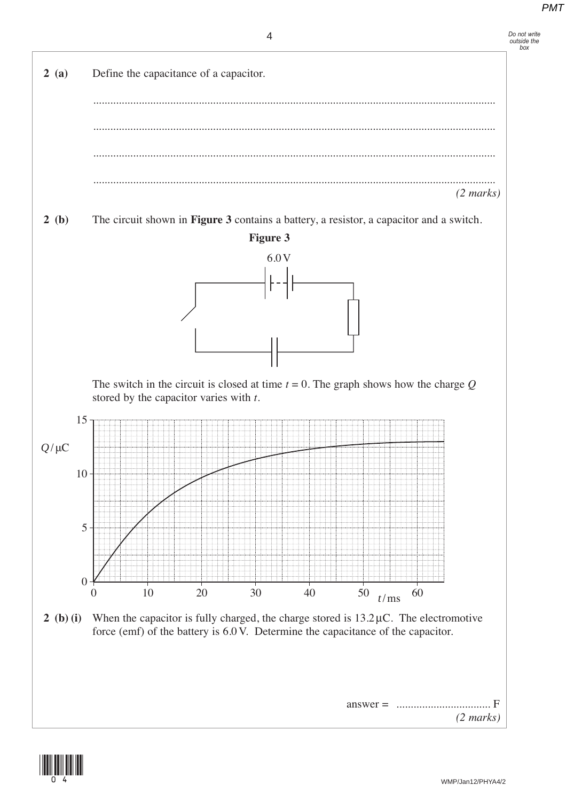![](_page_3_Figure_2.jpeg)

![](_page_3_Figure_3.jpeg)

![](_page_3_Picture_4.jpeg)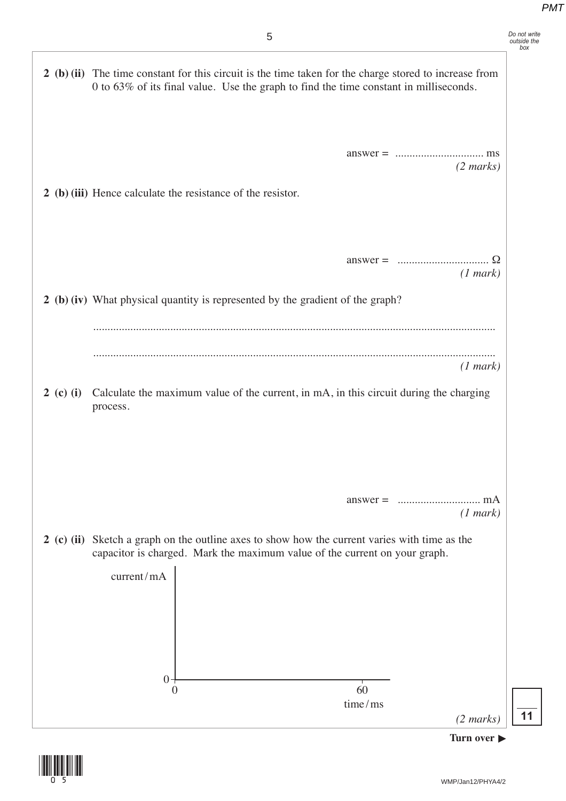*Do not write outside the box*

**2 (b) (ii)** The time constant for this circuit is the time taken for the charge stored to increase from

0 to 63% of its final value. Use the graph to find the time constant in milliseconds.

|           | $(2 \text{ marks})$<br>2 (b) (iii) Hence calculate the resistance of the resistor.                                                                                          |  |
|-----------|-----------------------------------------------------------------------------------------------------------------------------------------------------------------------------|--|
|           | $\Omega$<br>$answer =$<br>(1 mark)<br>2 (b) (iv) What physical quantity is represented by the gradient of the graph?                                                        |  |
|           |                                                                                                                                                                             |  |
| 2 (c) (i) | (1 mark)<br>Calculate the maximum value of the current, in mA, in this circuit during the charging<br>process.                                                              |  |
|           | $answer =$<br>(1 mark)                                                                                                                                                      |  |
|           | 2 (c) (ii) Sketch a graph on the outline axes to show how the current varies with time as the<br>capacitor is charged. Mark the maximum value of the current on your graph. |  |
|           | current/mA                                                                                                                                                                  |  |

 $0 \hspace{3.2cm} 60$ 

time /ms

 $0 -$ 

*(2 marks)*

**11**

![](_page_4_Figure_5.jpeg)

![](_page_4_Picture_6.jpeg)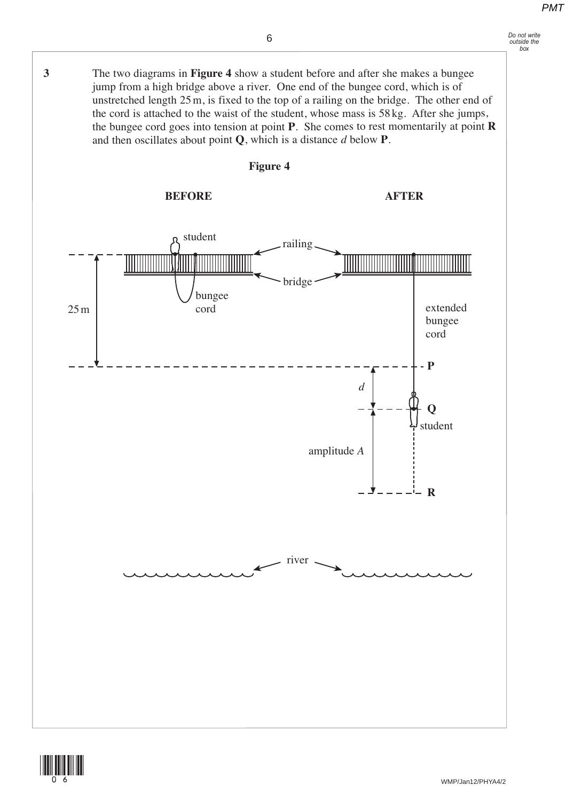![](_page_5_Figure_2.jpeg)

![](_page_5_Picture_3.jpeg)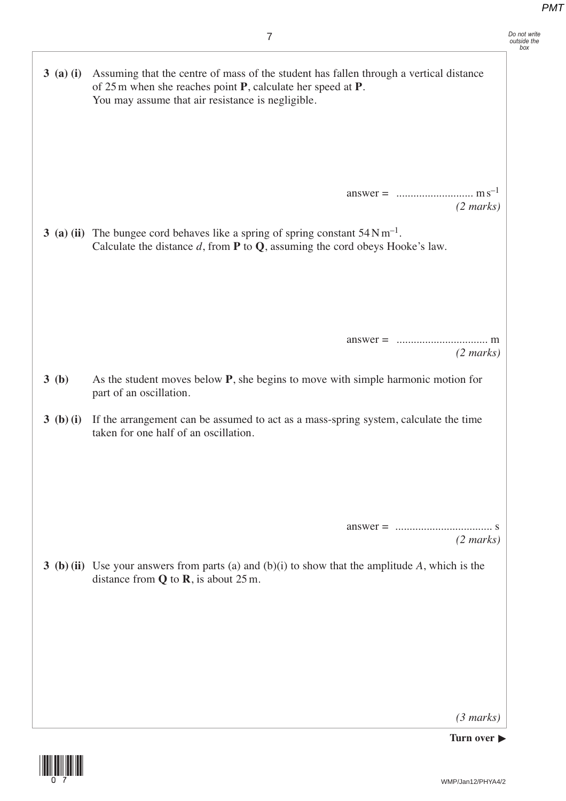*(3 marks)*

**Turn over**  $\blacktriangleright$ 

![](_page_6_Picture_4.jpeg)

WMP/Jan12/PHYA4/2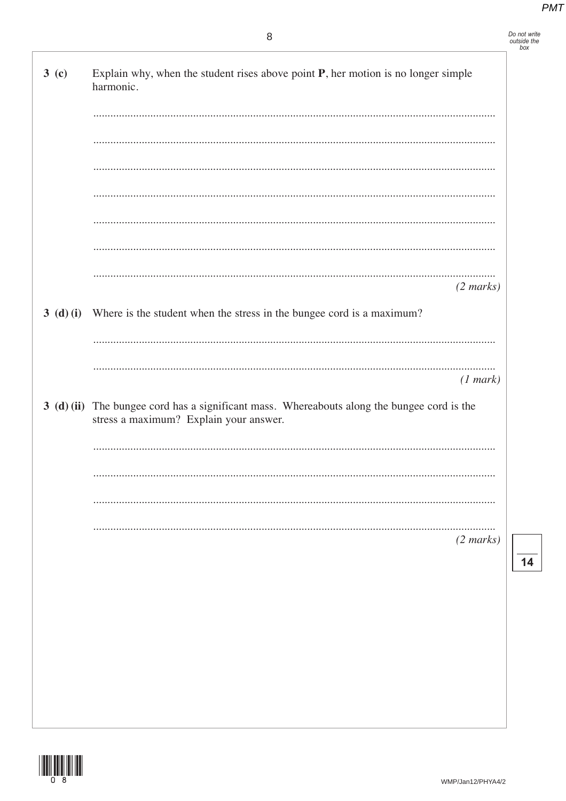| 3 <sub>(c)</sub> | Explain why, when the student rises above point $P$ , her motion is no longer simple<br>harmonic.                                     |
|------------------|---------------------------------------------------------------------------------------------------------------------------------------|
|                  |                                                                                                                                       |
|                  |                                                                                                                                       |
|                  |                                                                                                                                       |
|                  |                                                                                                                                       |
|                  |                                                                                                                                       |
|                  |                                                                                                                                       |
|                  |                                                                                                                                       |
|                  | $(2 \text{ marks})$                                                                                                                   |
|                  | 3 (d) (i) Where is the student when the stress in the bungee cord is a maximum?                                                       |
|                  |                                                                                                                                       |
|                  | (1 mark)                                                                                                                              |
|                  | 3 (d) (ii) The bungee cord has a significant mass. Whereabouts along the bungee cord is the<br>stress a maximum? Explain your answer. |
|                  |                                                                                                                                       |
|                  |                                                                                                                                       |
|                  |                                                                                                                                       |
|                  |                                                                                                                                       |
|                  | $(2 \text{ marks})$                                                                                                                   |
|                  |                                                                                                                                       |
|                  |                                                                                                                                       |
|                  |                                                                                                                                       |
|                  |                                                                                                                                       |
|                  |                                                                                                                                       |
|                  |                                                                                                                                       |

![](_page_7_Picture_3.jpeg)

 $\overline{14}$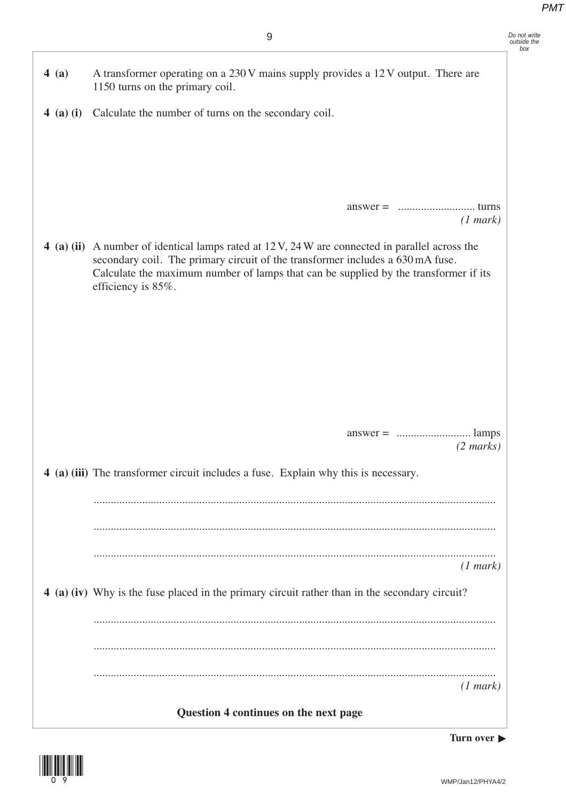*Do not write outside the box*  **4 (a)** A transformer operating on a 230 V mains supply provides a 12 V output. There are 1150 turns on the primary coil.  **4 (a) (i)** Calculate the number of turns on the secondary coil. answer = ........................... turns *(1 mark)* **4 (a) (ii)** A number of identical lamps rated at 12 V, 24 W are connected in parallel across the secondary coil. The primary circuit of the transformer includes a 630 mA fuse. Calculate the maximum number of lamps that can be supplied by the transformer if its efficiency is 85%. answer = .......................... lamps *(2 marks)*  **4 (a) (iii)** The transformer circuit includes a fuse. Explain why this is necessary. ............................................................................................................................................. ............................................................................................................................................. ............................................................................................................................................. *(1 mark)*  **4 (a) (iv)** Why is the fuse placed in the primary circuit rather than in the secondary circuit? ............................................................................................................................................. ............................................................................................................................................. ............................................................................................................................................. *(1 mark)*

**Question 4 continues on the next page**

**Turn over**  $\blacktriangleright$ 

![](_page_8_Picture_4.jpeg)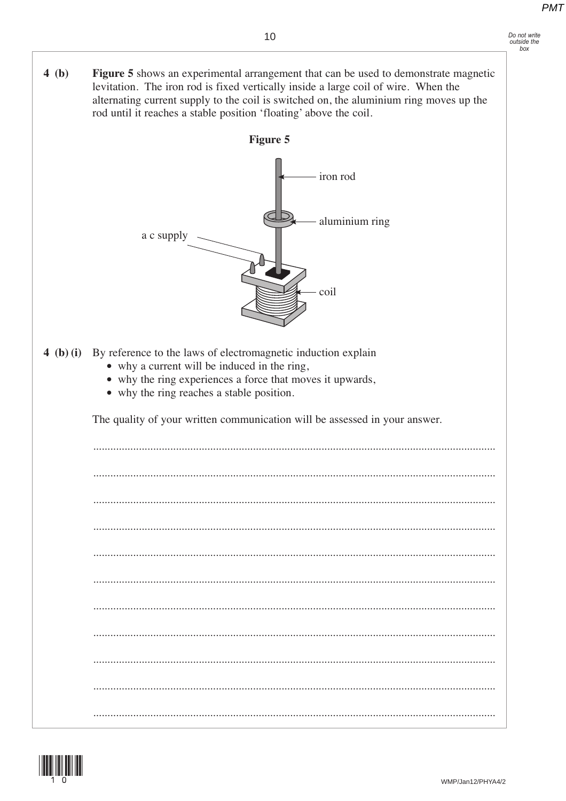levitation. The iron rod is fixed vertically inside a large coil of wire. When the alternating current supply to the coil is switched on, the aluminium ring moves up the

Figure 5 shows an experimental arrangement that can be used to demonstrate magnetic

 $4(b)$ 

- Do not write outside the<br>box
- rod until it reaches a stable position 'floating' above the coil. **Figure 5** iron rod aluminium ring a c supply coil 4 (b) (i) By reference to the laws of electromagnetic induction explain • why a current will be induced in the ring, • why the ring experiences a force that moves it upwards, • why the ring reaches a stable position. The quality of your written communication will be assessed in your answer. WMP/Jan12/PHYA4/2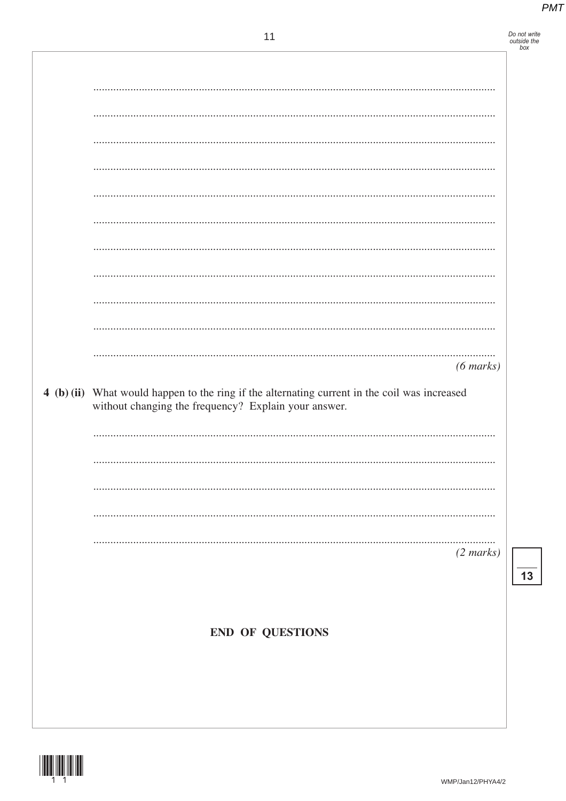Do not write<br>outside the<br>box

|                                                                                               | $(6 \text{ marks})$ |
|-----------------------------------------------------------------------------------------------|---------------------|
| 4 (b) (ii) What would happen to the ring if the alternating current in the coil was increased |                     |
| without changing the frequency? Explain your answer.                                          |                     |
|                                                                                               |                     |
|                                                                                               |                     |
|                                                                                               |                     |
|                                                                                               |                     |
|                                                                                               | $(2 \text{ marks})$ |
|                                                                                               |                     |
|                                                                                               |                     |
| <b>END OF QUESTIONS</b>                                                                       |                     |
|                                                                                               |                     |
|                                                                                               |                     |

![](_page_10_Picture_4.jpeg)

 $\overline{13}$